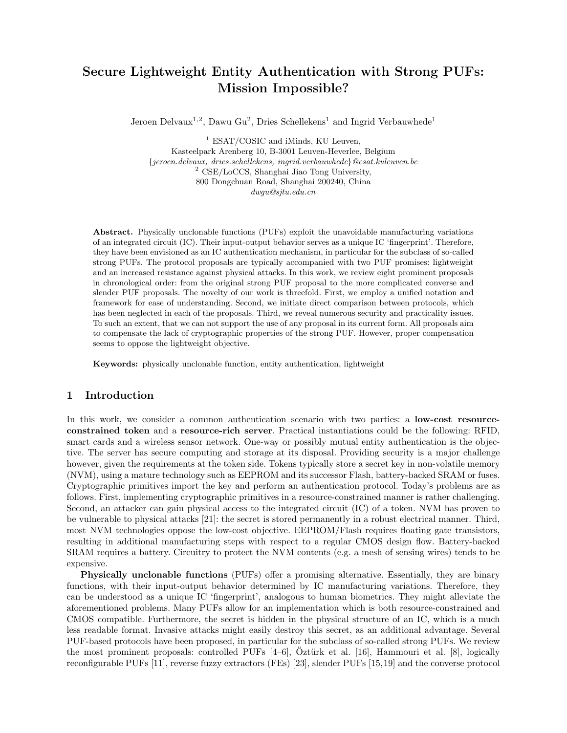# Secure Lightweight Entity Authentication with Strong PUFs: Mission Impossible?

Jeroen Delvaux<sup>1,2</sup>, Dawu Gu<sup>2</sup>, Dries Schellekens<sup>1</sup> and Ingrid Verbauwhede<sup>1</sup>

<sup>1</sup> ESAT/COSIC and iMinds, KU Leuven, Kasteelpark Arenberg 10, B-3001 Leuven-Heverlee, Belgium {jeroen.delvaux, dries.schellekens, ingrid.verbauwhede}@esat.kuleuven.be <sup>2</sup> CSE/LoCCS, Shanghai Jiao Tong University, 800 Dongchuan Road, Shanghai 200240, China dwgu@sjtu.edu.cn

Abstract. Physically unclonable functions (PUFs) exploit the unavoidable manufacturing variations of an integrated circuit (IC). Their input-output behavior serves as a unique IC 'fingerprint'. Therefore, they have been envisioned as an IC authentication mechanism, in particular for the subclass of so-called strong PUFs. The protocol proposals are typically accompanied with two PUF promises: lightweight and an increased resistance against physical attacks. In this work, we review eight prominent proposals in chronological order: from the original strong PUF proposal to the more complicated converse and slender PUF proposals. The novelty of our work is threefold. First, we employ a unified notation and framework for ease of understanding. Second, we initiate direct comparison between protocols, which has been neglected in each of the proposals. Third, we reveal numerous security and practicality issues. To such an extent, that we can not support the use of any proposal in its current form. All proposals aim to compensate the lack of cryptographic properties of the strong PUF. However, proper compensation seems to oppose the lightweight objective.

Keywords: physically unclonable function, entity authentication, lightweight

# 1 Introduction

In this work, we consider a common authentication scenario with two parties: a **low-cost resource**constrained token and a resource-rich server. Practical instantiations could be the following: RFID, smart cards and a wireless sensor network. One-way or possibly mutual entity authentication is the objective. The server has secure computing and storage at its disposal. Providing security is a major challenge however, given the requirements at the token side. Tokens typically store a secret key in non-volatile memory (NVM), using a mature technology such as EEPROM and its successor Flash, battery-backed SRAM or fuses. Cryptographic primitives import the key and perform an authentication protocol. Today's problems are as follows. First, implementing cryptographic primitives in a resource-constrained manner is rather challenging. Second, an attacker can gain physical access to the integrated circuit (IC) of a token. NVM has proven to be vulnerable to physical attacks [21]: the secret is stored permanently in a robust electrical manner. Third, most NVM technologies oppose the low-cost objective. EEPROM/Flash requires floating gate transistors, resulting in additional manufacturing steps with respect to a regular CMOS design flow. Battery-backed SRAM requires a battery. Circuitry to protect the NVM contents (e.g. a mesh of sensing wires) tends to be expensive.

Physically unclonable functions (PUFs) offer a promising alternative. Essentially, they are binary functions, with their input-output behavior determined by IC manufacturing variations. Therefore, they can be understood as a unique IC 'fingerprint', analogous to human biometrics. They might alleviate the aforementioned problems. Many PUFs allow for an implementation which is both resource-constrained and CMOS compatible. Furthermore, the secret is hidden in the physical structure of an IC, which is a much less readable format. Invasive attacks might easily destroy this secret, as an additional advantage. Several PUF-based protocols have been proposed, in particular for the subclass of so-called strong PUFs. We review the most prominent proposals: controlled PUFs  $[4-6]$ , Oztürk et al.  $[16]$ , Hammouri et al.  $[8]$ , logically reconfigurable PUFs [11], reverse fuzzy extractors (FEs) [23], slender PUFs [15,19] and the converse protocol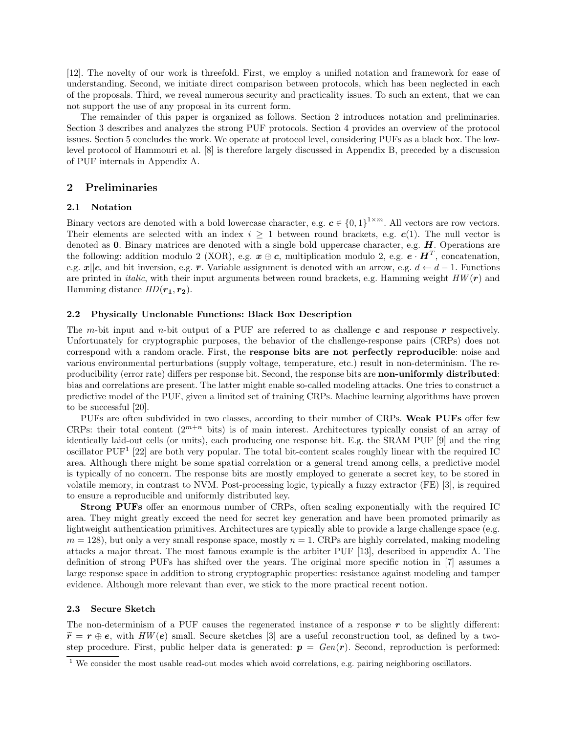[12]. The novelty of our work is threefold. First, we employ a unified notation and framework for ease of understanding. Second, we initiate direct comparison between protocols, which has been neglected in each of the proposals. Third, we reveal numerous security and practicality issues. To such an extent, that we can not support the use of any proposal in its current form.

The remainder of this paper is organized as follows. Section 2 introduces notation and preliminaries. Section 3 describes and analyzes the strong PUF protocols. Section 4 provides an overview of the protocol issues. Section 5 concludes the work. We operate at protocol level, considering PUFs as a black box. The lowlevel protocol of Hammouri et al. [8] is therefore largely discussed in Appendix B, preceded by a discussion of PUF internals in Appendix A.

### 2 Preliminaries

#### 2.1 Notation

Binary vectors are denoted with a bold lowercase character, e.g.  $c \in \{0,1\}^{1 \times m}$ . All vectors are row vectors. Their elements are selected with an index  $i \geq 1$  between round brackets, e.g.  $c(1)$ . The null vector is denoted as  $0$ . Binary matrices are denoted with a single bold uppercase character, e.g.  $H$ . Operations are the following: addition modulo 2 (XOR), e.g.  $x \oplus c$ , multiplication modulo 2, e.g.  $e \cdot H^T$ , concatenation, e.g.  $x||c$ , and bit inversion, e.g.  $\overline{r}$ . Variable assignment is denoted with an arrow, e.g.  $d \leftarrow d-1$ . Functions are printed in *italic*, with their input arguments between round brackets, e.g. Hamming weight  $HW(r)$  and Hamming distance  $HD(\mathbf{r_1}, \mathbf{r_2}).$ 

#### 2.2 Physically Unclonable Functions: Black Box Description

The m-bit input and n-bit output of a PUF are referred to as challenge c and response r respectively. Unfortunately for cryptographic purposes, the behavior of the challenge-response pairs (CRPs) does not correspond with a random oracle. First, the response bits are not perfectly reproducible: noise and various environmental perturbations (supply voltage, temperature, etc.) result in non-determinism. The reproducibility (error rate) differs per response bit. Second, the response bits are non-uniformly distributed: bias and correlations are present. The latter might enable so-called modeling attacks. One tries to construct a predictive model of the PUF, given a limited set of training CRPs. Machine learning algorithms have proven to be successful [20].

PUFs are often subdivided in two classes, according to their number of CRPs. Weak PUFs offer few CRPs: their total content  $(2^{m+n}$  bits) is of main interest. Architectures typically consist of an array of identically laid-out cells (or units), each producing one response bit. E.g. the SRAM PUF [9] and the ring oscillator PUF<sup>1</sup> [22] are both very popular. The total bit-content scales roughly linear with the required IC area. Although there might be some spatial correlation or a general trend among cells, a predictive model is typically of no concern. The response bits are mostly employed to generate a secret key, to be stored in volatile memory, in contrast to NVM. Post-processing logic, typically a fuzzy extractor (FE) [3], is required to ensure a reproducible and uniformly distributed key.

Strong PUFs offer an enormous number of CRPs, often scaling exponentially with the required IC area. They might greatly exceed the need for secret key generation and have been promoted primarily as lightweight authentication primitives. Architectures are typically able to provide a large challenge space (e.g.  $m = 128$ ), but only a very small response space, mostly  $n = 1$ . CRPs are highly correlated, making modeling attacks a major threat. The most famous example is the arbiter PUF [13], described in appendix A. The definition of strong PUFs has shifted over the years. The original more specific notion in [7] assumes a large response space in addition to strong cryptographic properties: resistance against modeling and tamper evidence. Although more relevant than ever, we stick to the more practical recent notion.

#### 2.3 Secure Sketch

The non-determinism of a PUF causes the regenerated instance of a response  $r$  to be slightly different:  $\tilde{r}=r\oplus e$ , with  $HW(e)$  small. Secure sketches [3] are a useful reconstruction tool, as defined by a twostep procedure. First, public helper data is generated:  $p = Gen(r)$ . Second, reproduction is performed:

 $\frac{1}{1}$  We consider the most usable read-out modes which avoid correlations, e.g. pairing neighboring oscillators.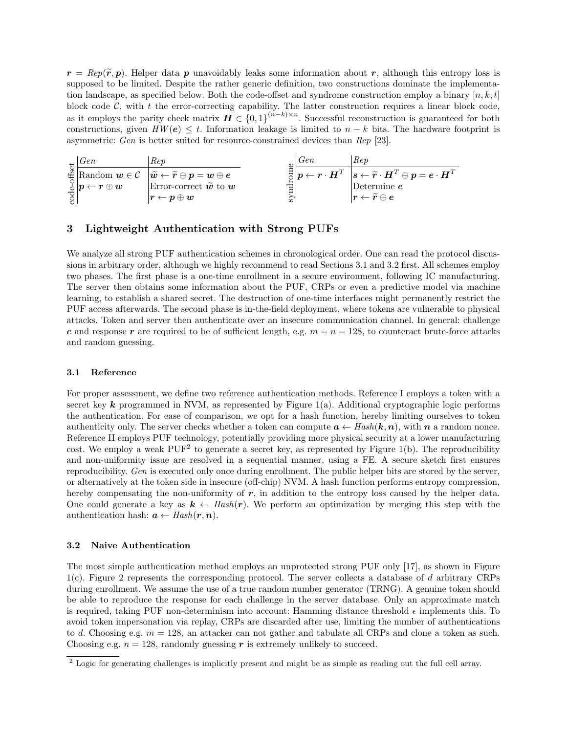$r = \text{Rep}(\tilde{r}, p)$ . Helper data p unavoidably leaks some information about r, although this entropy loss is supposed to be limited. Despite the rather generic definition, two constructions dominate the implementation landscape, as specified below. Both the code-offset and syndrome construction employ a binary  $[n, k, t]$ block code  $C$ , with t the error-correcting capability. The latter construction requires a linear block code, as it employs the parity check matrix  $\boldsymbol{H} \in \{0,1\}^{(n-k)\times n}$ . Successful reconstruction is guaranteed for both constructions, given  $HW(e) \leq t$ . Information leakage is limited to  $n - k$  bits. The hardware footprint is asymmetric: Gen is better suited for resource-constrained devices than Rep [23].

| Gen                                                | Rep                                                                                                                                                                                                     |    | Gen | Rep                                                                                                                                                                       |
|----------------------------------------------------|---------------------------------------------------------------------------------------------------------------------------------------------------------------------------------------------------------|----|-----|---------------------------------------------------------------------------------------------------------------------------------------------------------------------------|
|                                                    | $\mathbb{E}\left[\text{Random } \boldsymbol{w}\in\mathcal{C} \mid \widetilde{\boldsymbol{w}}\leftarrow \widetilde{\boldsymbol{r}}\oplus\boldsymbol{p}=\boldsymbol{w}\oplus\boldsymbol{e}\right]\right]$ |    |     | $\mathbb{E}\left[\mathbf{p}\leftarrow\mathbf{r}\cdot\mathbf{H}^T~~\big s\leftarrow\widetilde{\mathbf{r}}\cdot\mathbf{H}^T\oplus\mathbf{p}=\bm{e}\cdot\mathbf{H}^T\right]$ |
| $\mathbb{E}_{\mathbb{H}}[p \leftarrow r \oplus w]$ | Error-correct $\widetilde{\boldsymbol{w}}$ to $\boldsymbol{w}$                                                                                                                                          |    |     | Determine $e$                                                                                                                                                             |
|                                                    | $\bm{\mathit{r}} \leftarrow \bm{\mathit{p}} \oplus \bm{\mathit{w}}$                                                                                                                                     | ್. |     | $ \bm{r} \leftarrow \widetilde{\bm{r}} \oplus \bm{e} $                                                                                                                    |

# 3 Lightweight Authentication with Strong PUFs

We analyze all strong PUF authentication schemes in chronological order. One can read the protocol discussions in arbitrary order, although we highly recommend to read Sections 3.1 and 3.2 first. All schemes employ two phases. The first phase is a one-time enrollment in a secure environment, following IC manufacturing. The server then obtains some information about the PUF, CRPs or even a predictive model via machine learning, to establish a shared secret. The destruction of one-time interfaces might permanently restrict the PUF access afterwards. The second phase is in-the-field deployment, where tokens are vulnerable to physical attacks. Token and server then authenticate over an insecure communication channel. In general: challenge c and response r are required to be of sufficient length, e.g.  $m = n = 128$ , to counteract brute-force attacks and random guessing.

#### 3.1 Reference

For proper assessment, we define two reference authentication methods. Reference I employs a token with a secret key  $k$  programmed in NVM, as represented by Figure 1(a). Additional cryptographic logic performs the authentication. For ease of comparison, we opt for a hash function, hereby limiting ourselves to token authenticity only. The server checks whether a token can compute  $a \leftarrow Hash(k, n)$ , with n a random nonce. Reference II employs PUF technology, potentially providing more physical security at a lower manufacturing cost. We employ a weak  $PUF<sup>2</sup>$  to generate a secret key, as represented by Figure 1(b). The reproducibility and non-uniformity issue are resolved in a sequential manner, using a FE. A secure sketch first ensures reproducibility. Gen is executed only once during enrollment. The public helper bits are stored by the server, or alternatively at the token side in insecure (off-chip) NVM. A hash function performs entropy compression, hereby compensating the non-uniformity of  $r$ , in addition to the entropy loss caused by the helper data. One could generate a key as  $k \leftarrow \text{Hash}(r)$ . We perform an optimization by merging this step with the authentication hash:  $a \leftarrow Hash(r, n)$ .

### 3.2 Naive Authentication

The most simple authentication method employs an unprotected strong PUF only [17], as shown in Figure 1(c). Figure 2 represents the corresponding protocol. The server collects a database of d arbitrary CRPs during enrollment. We assume the use of a true random number generator (TRNG). A genuine token should be able to reproduce the response for each challenge in the server database. Only an approximate match is required, taking PUF non-determinism into account: Hamming distance threshold  $\epsilon$  implements this. To avoid token impersonation via replay, CRPs are discarded after use, limiting the number of authentications to d. Choosing e.g.  $m = 128$ , an attacker can not gather and tabulate all CRPs and clone a token as such. Choosing e.g.  $n = 128$ , randomly guessing r is extremely unlikely to succeed.

<sup>&</sup>lt;sup>2</sup> Logic for generating challenges is implicitly present and might be as simple as reading out the full cell array.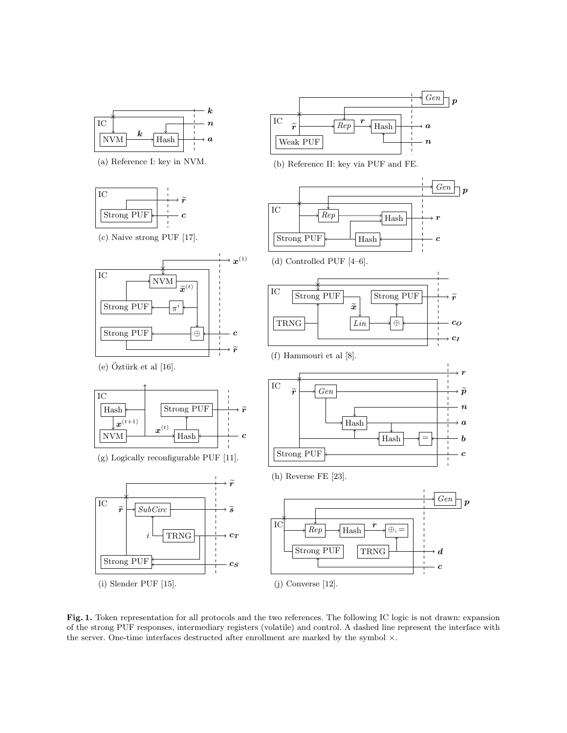

(a) Reference I: key in NVM.





(e)  $\ddot{O}$ ztürk et al [16].



(g) Logically reconfigurable PUF [11].





(b) Reference II: key via PUF and FE.



Fig. 1. Token representation for all protocols and the two references. The following IC logic is not drawn: expansion of the strong PUF responses, intermediary registers (volatile) and control. A dashed line represent the interface with the server. One-time interfaces destructed after enrollment are marked by the symbol  $\times$ .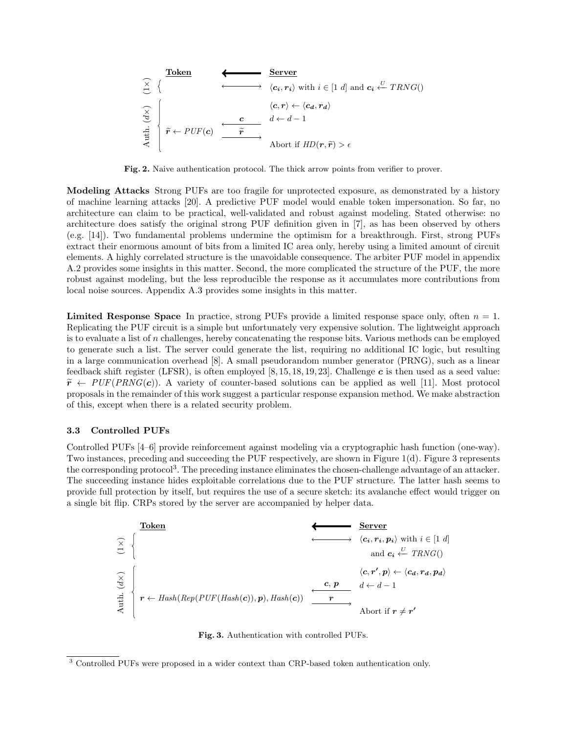| Token         |                                                                                                                                                                                                                                                                                                                                                                                                                                                                                                                                                                                                                                                                                                                                                                                                                                      | Server |
|---------------|--------------------------------------------------------------------------------------------------------------------------------------------------------------------------------------------------------------------------------------------------------------------------------------------------------------------------------------------------------------------------------------------------------------------------------------------------------------------------------------------------------------------------------------------------------------------------------------------------------------------------------------------------------------------------------------------------------------------------------------------------------------------------------------------------------------------------------------|--------|
| $\frac{1}{2}$ | $\left\{\n \begin{array}{ccc}\n & & & & & \\ \hline\n & & & & & \\ \hline\n & & & & & \\ \hline\n & & & & & \\ \hline\n & & & & & \\ \hline\n & & & & & \\ \hline\n & & & & & \\ \hline\n & & & & & \\ \hline\n & & & & & \\ \hline\n & & & & & \\ \hline\n & & & & & \\ \hline\n & & & & & \\ \hline\n & & & & & \\ \hline\n & & & & & \\ \hline\n & & & & & \\ \hline\n & & & & & \\ \hline\n & & & & & \\ \hline\n & & & & & \\ \hline\n & & & & & \\ \hline\n & & & & & \\ \hline\n & & & & & \\ \hline\n & & & & & \\ \hline\n & & & & & \\ \hline\n & & & & & \\ \hline\n & & & & & \\ \hline\n & & & & & \\ \hline\n & & & & & \\ \hline\n & & & & & \\ \hline\n & & & & & \\ \hline\n & & & & & \\ \hline\n & & & & & \\ \hline\n & & & & & \\ \hline\n & & & & & \\ \hline\n & & & & & \\ \hline\n & & & & & \\ \hline\n &$ |        |

Fig. 2. Naive authentication protocol. The thick arrow points from verifier to prover.

Modeling Attacks Strong PUFs are too fragile for unprotected exposure, as demonstrated by a history of machine learning attacks [20]. A predictive PUF model would enable token impersonation. So far, no architecture can claim to be practical, well-validated and robust against modeling. Stated otherwise: no architecture does satisfy the original strong PUF definition given in [7], as has been observed by others (e.g. [14]). Two fundamental problems undermine the optimism for a breakthrough. First, strong PUFs extract their enormous amount of bits from a limited IC area only, hereby using a limited amount of circuit elements. A highly correlated structure is the unavoidable consequence. The arbiter PUF model in appendix A.2 provides some insights in this matter. Second, the more complicated the structure of the PUF, the more robust against modeling, but the less reproducible the response as it accumulates more contributions from local noise sources. Appendix A.3 provides some insights in this matter.

**Limited Response Space** In practice, strong PUFs provide a limited response space only, often  $n = 1$ . Replicating the PUF circuit is a simple but unfortunately very expensive solution. The lightweight approach is to evaluate a list of n challenges, hereby concatenating the response bits. Various methods can be employed to generate such a list. The server could generate the list, requiring no additional IC logic, but resulting in a large communication overhead [8]. A small pseudorandom number generator (PRNG), such as a linear feedback shift register (LFSR), is often employed [8, 15, 18, 19, 23]. Challenge  $c$  is then used as a seed value:  $\tilde{r} \leftarrow PUF(PRNG(c))$ . A variety of counter-based solutions can be applied as well [11]. Most protocol proposals in the remainder of this work suggest a particular response expansion method. We make abstraction of this, except when there is a related security problem.

### 3.3 Controlled PUFs

Controlled PUFs [4–6] provide reinforcement against modeling via a cryptographic hash function (one-way). Two instances, preceding and succeeding the PUF respectively, are shown in Figure 1(d). Figure 3 represents the corresponding protocol<sup>3</sup>. The preceding instance eliminates the chosen-challenge advantage of an attacker. The succeeding instance hides exploitable correlations due to the PUF structure. The latter hash seems to provide full protection by itself, but requires the use of a secure sketch: its avalanche effect would trigger on a single bit flip. CRPs stored by the server are accompanied by helper data.





<sup>3</sup> Controlled PUFs were proposed in a wider context than CRP-based token authentication only.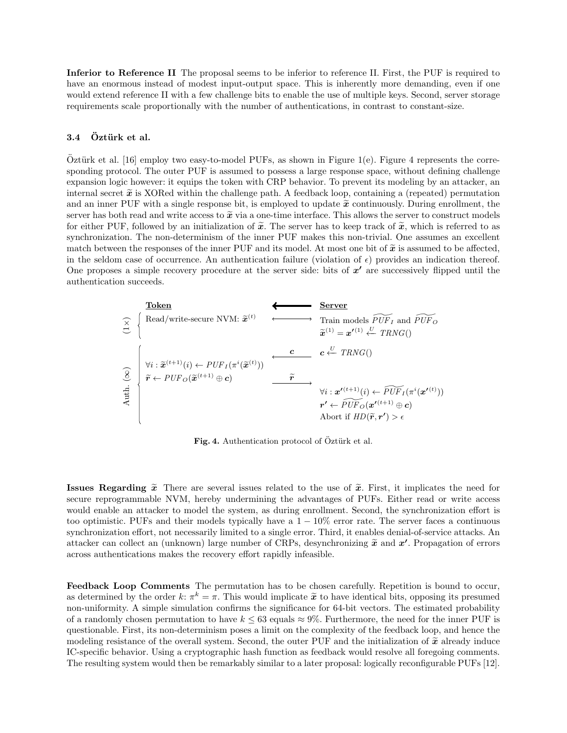Inferior to Reference II The proposal seems to be inferior to reference II. First, the PUF is required to have an enormous instead of modest input-output space. This is inherently more demanding, even if one would extend reference II with a few challenge bits to enable the use of multiple keys. Second, server storage requirements scale proportionally with the number of authentications, in contrast to constant-size.

## 3.4 Öztürk et al.

Oztürk et al.  $[16]$  employ two easy-to-model PUFs, as shown in Figure 1(e). Figure 4 represents the corresponding protocol. The outer PUF is assumed to possess a large response space, without defining challenge expansion logic however: it equips the token with CRP behavior. To prevent its modeling by an attacker, an internal secret  $\tilde{x}$  is XORed within the challenge path. A feedback loop, containing a (repeated) permutation and an inner PUF with a single response bit, is employed to update  $\tilde{x}$  continuously. During enrollment, the server has both read and write access to  $\tilde{x}$  via a one-time interface. This allows the server to construct models for either PUF, followed by an initialization of  $\tilde{x}$ . The server has to keep track of  $\tilde{x}$ , which is referred to as synchronization. The non-determinism of the inner PUF makes this non-trivial. One assumes an excellent match between the responses of the inner PUF and its model. At most one bit of  $\tilde{x}$  is assumed to be affected, in the seldom case of occurrence. An authentication failure (violation of  $\epsilon$ ) provides an indication thereof. One proposes a simple recovery procedure at the server side: bits of  $x'$  are successively flipped until the authentication succeeds.



Fig. 4. Authentication protocol of Öztürk et al.

**Issues Regarding**  $\tilde{x}$  There are several issues related to the use of  $\tilde{x}$ . First, it implicates the need for secure reprogrammable NVM, hereby undermining the advantages of PUFs. Either read or write access would enable an attacker to model the system, as during enrollment. Second, the synchronization effort is too optimistic. PUFs and their models typically have a  $1 - 10\%$  error rate. The server faces a continuous synchronization effort, not necessarily limited to a single error. Third, it enables denial-of-service attacks. An attacker can collect an (unknown) large number of CRPs, desynchronizing  $\tilde{x}$  and  $x'$ . Propagation of errors across authentications makes the recovery effort rapidly infeasible.

Feedback Loop Comments The permutation has to be chosen carefully. Repetition is bound to occur, as determined by the order  $k: \pi^k = \pi$ . This would implicate  $\tilde{x}$  to have identical bits, opposing its presumed<br>non-uniformity. A simple simulation confirms the similar near for 64 bit vectors. The estimated probabilit non-uniformity. A simple simulation confirms the significance for 64-bit vectors. The estimated probability of a randomly chosen permutation to have  $k \leq 63$  equals  $\approx 9\%$ . Furthermore, the need for the inner PUF is questionable. First, its non-determinism poses a limit on the complexity of the feedback loop, and hence the modeling resistance of the overall system. Second, the outer PUF and the initialization of  $\tilde{x}$  already induce IC-specific behavior. Using a cryptographic hash function as feedback would resolve all foregoing comments. The resulting system would then be remarkably similar to a later proposal: logically reconfigurable PUFs [12].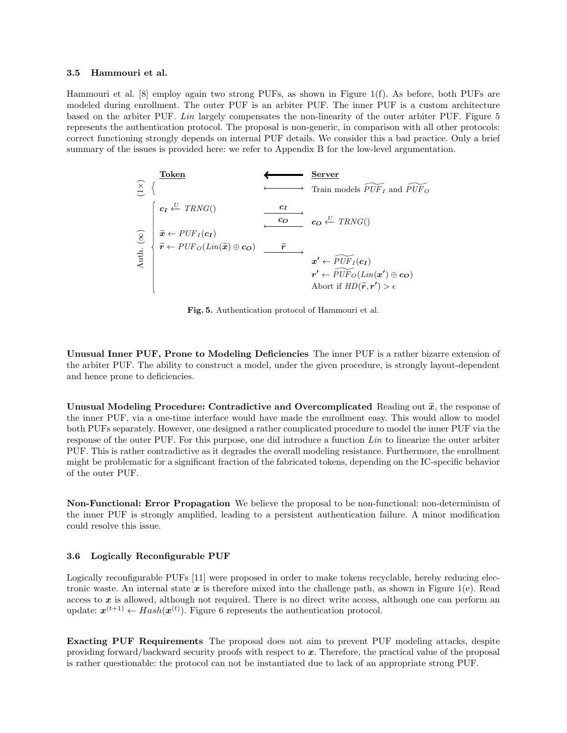#### 3.5 Hammouri et al.

Hammouri et al. [8] employ again two strong PUFs, as shown in Figure 1(f). As before, both PUFs are modeled during enrollment. The outer PUF is an arbiter PUF. The inner PUF is a custom architecture based on the arbiter PUF. Lin largely compensates the non-linearity of the outer arbiter PUF. Figure 5 represents the authentication protocol. The proposal is non-generic, in comparison with all other protocols: correct functioning strongly depends on internal PUF details. We consider this a bad practice. Only a brief summary of the issues is provided here: we refer to Appendix B for the low-level argumentation.

| Token         |                                                                                                                                                                                                                                                                                                                                                                                                                                                                                                                                                                                                                                                                                                                                                                                                                                                                                                                                                                                                                                                                                                                                                                                                                                                                                                                                            | Server |
|---------------|--------------------------------------------------------------------------------------------------------------------------------------------------------------------------------------------------------------------------------------------------------------------------------------------------------------------------------------------------------------------------------------------------------------------------------------------------------------------------------------------------------------------------------------------------------------------------------------------------------------------------------------------------------------------------------------------------------------------------------------------------------------------------------------------------------------------------------------------------------------------------------------------------------------------------------------------------------------------------------------------------------------------------------------------------------------------------------------------------------------------------------------------------------------------------------------------------------------------------------------------------------------------------------------------------------------------------------------------|--------|
| $\frac{1}{C}$ | $\left\{\n \begin{array}{ccc}\n \text{C1} & \text{C1} & \text{C1} & \text{C1} \\ \hline\n \text{C2} & \text{C3} & \text{C4} & \text{C5} \\ \hline\n \text{C4} & \text{C5} & \text{C6} & \text{C6} \\ \hline\n \text{C5} & \text{C6} & \text{C6} & \text{C6} \\ \hline\n \text{C6} & \text{C6} & \text{C6} & \text{C6} \\ \hline\n \text{C7} & \text{C8} & \text{C8} & \text{C8} \\ \hline\n \text{C8} & \text{C9} & \text{C0} & \text{C0} \\ \hline\n \text{C1} & \text{C2} & \text{C3} & \text{C4} & \text{C4} \\ \hline\n \text{C1} & \text{C2} & \text{C3} & \text{C4} & \text{C4} \\ \hline\n \text{C1} & \text{C2} & \text{C3} & \text{C4} & \text{C4} \\ \hline\n \text{C1} & \text{C2} & \text{C3} & \text{C4} & \text{C4} \\ \hline\n \text{C1} & \text{C2} & \text{C3} & \text{C4} & \text{C4} \\ \hline\n \text{C1} & \text{C2} & \text{C3} & \text{C4} & \text{C4} \\ \hline\n \text{C1} & \text{C2} & \text{C3} & \text{C4} & \text{C4} & \text{C4} \\ \hline\n \text{C1} & \text{C2} & \text{C3} & \text{C4} & \text{C4} & \text{C4} \\ \hline\n \text{C1} & \text{C2} & \text{C3} & \text{C4} & \text{C4} & \text{C4} \\ \hline\n \text{C1} & \text{C2} & \text{C3} & \text{C4} & \text{C4} & \text{C4} \\ \hline\n \text{C1} & \text{C2} & \text{C3} & \text{C4} & \text{C4} & \text{C4} \\ \hline\n \text{C1} & \text{C2}$ |        |

Fig. 5. Authentication protocol of Hammouri et al.

Unusual Inner PUF, Prone to Modeling Deficiencies The inner PUF is a rather bizarre extension of the arbiter PUF. The ability to construct a model, under the given procedure, is strongly layout-dependent and hence prone to deficiencies.

Unusual Modeling Procedure: Contradictive and Overcomplicated Reading out  $\tilde{x}$ , the response of the inner PUF, via a one-time interface would have made the enrollment easy. This would allow to model both PUFs separately. However, one designed a rather complicated procedure to model the inner PUF via the response of the outer PUF. For this purpose, one did introduce a function Lin to linearize the outer arbiter PUF. This is rather contradictive as it degrades the overall modeling resistance. Furthermore, the enrollment might be problematic for a significant fraction of the fabricated tokens, depending on the IC-specific behavior of the outer PUF.

Non-Functional: Error Propagation We believe the proposal to be non-functional: non-determinism of the inner PUF is strongly amplified, leading to a persistent authentication failure. A minor modification could resolve this issue.

#### 3.6 Logically Reconfigurable PUF

Logically reconfigurable PUFs [11] were proposed in order to make tokens recyclable, hereby reducing electronic waste. An internal state  $x$  is therefore mixed into the challenge path, as shown in Figure 1(e). Read access to  $x$  is allowed, although not required. There is no direct write access, although one can perform an update:  $\mathbf{x}^{(t+1)} \leftarrow Hash(\mathbf{x}^{(t)})$ . Figure 6 represents the authentication protocol.

Exacting PUF Requirements The proposal does not aim to prevent PUF modeling attacks, despite providing forward/backward security proofs with respect to  $x$ . Therefore, the practical value of the proposal is rather questionable: the protocol can not be instantiated due to lack of an appropriate strong PUF.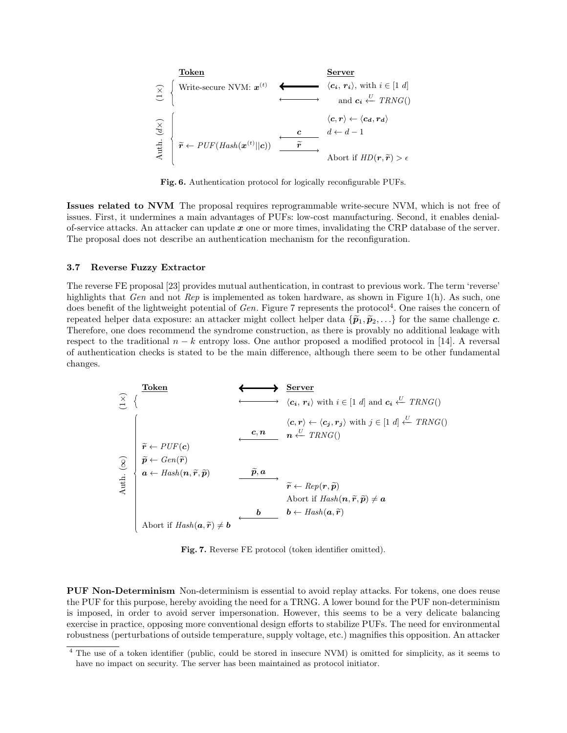

Fig. 6. Authentication protocol for logically reconfigurable PUFs.

Issues related to NVM The proposal requires reprogrammable write-secure NVM, which is not free of issues. First, it undermines a main advantages of PUFs: low-cost manufacturing. Second, it enables denialof-service attacks. An attacker can update  $x$  one or more times, invalidating the CRP database of the server. The proposal does not describe an authentication mechanism for the reconfiguration.

#### 3.7 Reverse Fuzzy Extractor

The reverse FE proposal [23] provides mutual authentication, in contrast to previous work. The term 'reverse' highlights that Gen and not Rep is implemented as token hardware, as shown in Figure 1(h). As such, one does benefit of the lightweight potential of  $Gen$ . Figure 7 represents the protocol<sup>4</sup>. One raises the concern of repeated helper data exposure: an attacker might collect helper data  $\{\tilde{\mathbf{p}}_1, \tilde{\mathbf{p}}_2, \ldots\}$  for the same challenge c. Therefore, one does recommend the syndrome construction, as there is provably no additional leakage with respect to the traditional  $n - k$  entropy loss. One author proposed a modified protocol in [14]. A reversal of authentication checks is stated to be the main difference, although there seem to be other fundamental changes.

| Token                                                       |                                                                                                                                   | Server                                                                                                                    |                                                                                                         |
|-------------------------------------------------------------|-----------------------------------------------------------------------------------------------------------------------------------|---------------------------------------------------------------------------------------------------------------------------|---------------------------------------------------------------------------------------------------------|
| $\frac{1}{2}$                                               | \n $\left\{\n\begin{array}{ccc}\n & & & & \\ \hline\n & & & & \\ \hline\n & & & & \\ \hline\n & & & & \\ \end{array}\n\right.$ \n | \n $\left\{\n\begin{array}{ccc}\n & & & \\ \hline\n & & & \\ \hline\n & & & \\ \hline\n & & & \\ \end{array}\n\right.$ \n | \n $\left\{\n\begin{array}{ccc}\n & & & \\ \hline\n & & & \\ \hline\n & & & \\ \end{array}\n\right.$ \n |
| $\frac{1}{2}$                                               | \n $\vec{p} \leftarrow \text{Gen}(\vec{r})$ \n                                                                                    | \n $\vec{p} \leftarrow \text{Gen}(\vec{r})$ \n                                                                            |                                                                                                         |
| $\vec{p} \leftarrow \text{Gen}(\vec{r})$                    | \n $\vec{p} \leftarrow \text{Rep}(r, \vec{p})$ \n                                                                                 |                                                                                                                           |                                                                                                         |
| $\vec{p} \leftarrow \text{Map}(n, \vec{r}, \vec{p})$        | \n $\vec{p} \leftarrow \text{Rep}(r, \vec{p})$ \n                                                                                 |                                                                                                                           |                                                                                                         |
| $\vec{p} \leftarrow \text{Rep}(r, \vec{p})$                 | \n $\vec{p} \leftarrow \text{Rep}(r, \vec{p})$ \n                                                                                 |                                                                                                                           |                                                                                                         |
| $\vec{p} \leftarrow \text{Map}(n, \vec{r}, \vec{p}) \neq a$ |                                                                                                                                   |                                                                                                                           |                                                                                                         |
| $\vec{p} \leftarrow \text{Map}(n, \vec{r}, \vec{p}) \neq a$ |                                                                                                                                   |                                                                                                                           |                                                                                                         |
| $\vec{p} \leftarrow \text{Map}(n, \vec{r}, \vec{p})$        | \n $\vec{p} \leftarrow \text{Hash}(a, \vec{r})$ \n                                                                                |                                                                                                                           |                                                                                                         |

Fig. 7. Reverse FE protocol (token identifier omitted).

PUF Non-Determinism Non-determinism is essential to avoid replay attacks. For tokens, one does reuse the PUF for this purpose, hereby avoiding the need for a TRNG. A lower bound for the PUF non-determinism is imposed, in order to avoid server impersonation. However, this seems to be a very delicate balancing exercise in practice, opposing more conventional design efforts to stabilize PUFs. The need for environmental robustness (perturbations of outside temperature, supply voltage, etc.) magnifies this opposition. An attacker

<sup>4</sup> The use of a token identifier (public, could be stored in insecure NVM) is omitted for simplicity, as it seems to have no impact on security. The server has been maintained as protocol initiator.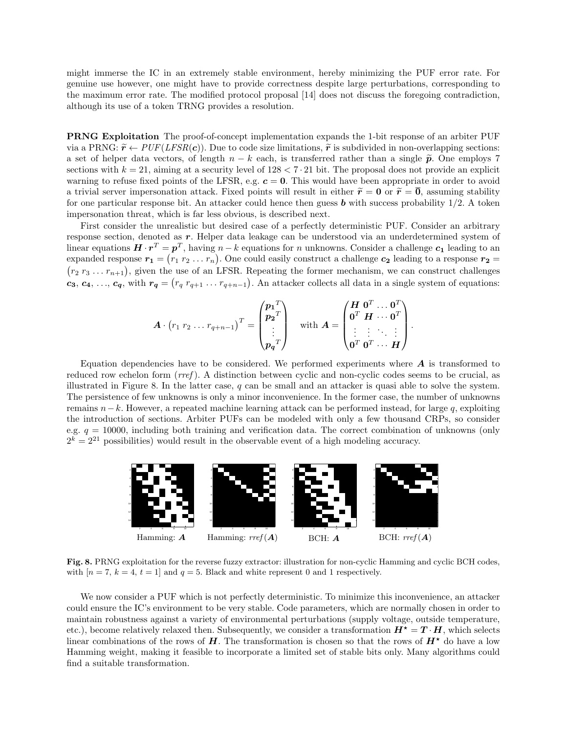might immerse the IC in an extremely stable environment, hereby minimizing the PUF error rate. For genuine use however, one might have to provide correctness despite large perturbations, corresponding to the maximum error rate. The modified protocol proposal [14] does not discuss the foregoing contradiction, although its use of a token TRNG provides a resolution.

PRNG Exploitation The proof-of-concept implementation expands the 1-bit response of an arbiter PUF via a PRNG:  $\tilde{r} \leftarrow PUF(LFSR(c))$ . Due to code size limitations,  $\tilde{r}$  is subdivided in non-overlapping sections: a set of helper data vectors, of length  $n - k$  each, is transferred rather than a single  $\tilde{p}$ . One employs 7 sections with  $k = 21$ , aiming at a security level of  $128 < 7 \cdot 21$  bit. The proposal does not provide an explicit warning to refuse fixed points of the LFSR, e.g.  $c = 0$ . This would have been appropriate in order to avoid a trivial server impersonation attack. Fixed points will result in either  $\tilde{r} = 0$  or  $\tilde{r} = \overline{0}$ , assuming stability for one particular response bit. An attacker could hence then guess  $\boldsymbol{b}$  with success probability 1/2. A token impersonation threat, which is far less obvious, is described next.

First consider the unrealistic but desired case of a perfectly deterministic PUF. Consider an arbitrary response section, denoted as r. Helper data leakage can be understood via an underdetermined system of linear equations  $\bm{H} \cdot \bm{r}^T = \bm{p}^T$ , having  $n-k$  equations for n unknowns. Consider a challenge  $\bm{c_1}$  leading to an expanded response  $r_1 = (r_1 r_2 \dots r_n)$ . One could easily construct a challenge  $c_2$  leading to a response  $r_2 =$  $(r_2 r_3 \ldots r_{n+1})$ , given the use of an LFSR. Repeating the former mechanism, we can construct challenges  $c_3, c_4, ..., c_q$ , with  $r_q = (r_q r_{q+1} ... r_{q+n-1})$ . An attacker collects all data in a single system of equations:

$$
\boldsymbol{A} \cdot \left(r_1 \ r_2 \dots r_{q+n-1}\right)^T = \begin{pmatrix} \boldsymbol{p_1}^T \\ \boldsymbol{p_2}^T \\ \vdots \\ \boldsymbol{p_q}^T \end{pmatrix} \quad \text{with } \boldsymbol{A} = \begin{pmatrix} \boldsymbol{H} & \boldsymbol{0}^T & \dots & \boldsymbol{0}^T \\ \boldsymbol{0}^T & \boldsymbol{H} & \dots & \boldsymbol{0}^T \\ \vdots & \vdots & \ddots & \vdots \\ \boldsymbol{0}^T & \boldsymbol{0}^T & \dots & \boldsymbol{H} \end{pmatrix}
$$

.

Equation dependencies have to be considered. We performed experiments where  $\bm{A}$  is transformed to reduced row echelon form  $(rref)$ . A distinction between cyclic and non-cyclic codes seems to be crucial, as illustrated in Figure 8. In the latter case, q can be small and an attacker is quasi able to solve the system. The persistence of few unknowns is only a minor inconvenience. In the former case, the number of unknowns remains  $n-k$ . However, a repeated machine learning attack can be performed instead, for large q, exploiting the introduction of sections. Arbiter PUFs can be modeled with only a few thousand CRPs, so consider e.g.  $q = 10000$ , including both training and verification data. The correct combination of unknowns (only  $2^{k} = 2^{21}$  possibilities) would result in the observable event of a high modeling accuracy.



Fig. 8. PRNG exploitation for the reverse fuzzy extractor: illustration for non-cyclic Hamming and cyclic BCH codes, with  $[n = 7, k = 4, t = 1]$  and  $q = 5$ . Black and white represent 0 and 1 respectively.

We now consider a PUF which is not perfectly deterministic. To minimize this inconvenience, an attacker could ensure the IC's environment to be very stable. Code parameters, which are normally chosen in order to maintain robustness against a variety of environmental perturbations (supply voltage, outside temperature, etc.), become relatively relaxed then. Subsequently, we consider a transformation  $H^* = T \cdot H$ , which selects linear combinations of the rows of  $H$ . The transformation is chosen so that the rows of  $H^*$  do have a low Hamming weight, making it feasible to incorporate a limited set of stable bits only. Many algorithms could find a suitable transformation.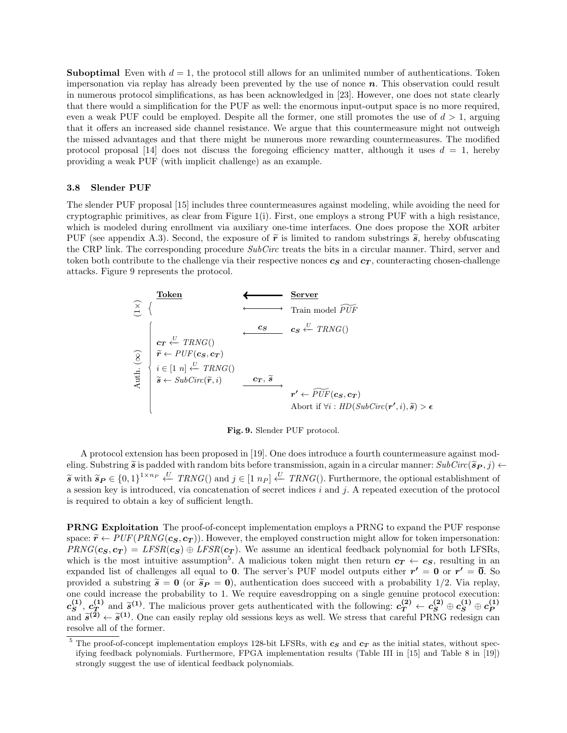**Suboptimal** Even with  $d = 1$ , the protocol still allows for an unlimited number of authentications. Token impersonation via replay has already been prevented by the use of nonce  $n$ . This observation could result in numerous protocol simplifications, as has been acknowledged in [23]. However, one does not state clearly that there would a simplification for the PUF as well: the enormous input-output space is no more required, even a weak PUF could be employed. Despite all the former, one still promotes the use of  $d > 1$ , arguing that it offers an increased side channel resistance. We argue that this countermeasure might not outweigh the missed advantages and that there might be numerous more rewarding countermeasures. The modified protocol proposal [14] does not discuss the foregoing efficiency matter, although it uses  $d = 1$ , hereby providing a weak PUF (with implicit challenge) as an example.

#### 3.8 Slender PUF

The slender PUF proposal [15] includes three countermeasures against modeling, while avoiding the need for cryptographic primitives, as clear from Figure 1(i). First, one employs a strong PUF with a high resistance, which is modeled during enrollment via auxiliary one-time interfaces. One does propose the XOR arbiter PUF (see appendix A.3). Second, the exposure of  $\tilde{r}$  is limited to random substrings  $\tilde{s}$ , hereby obfuscating the CRP link. The corresponding procedure SubCirc treats the bits in a circular manner. Third, server and token both contribute to the challenge via their respective nonces  $c_S$  and  $c_T$ , counteracting chosen-challenge attacks. Figure 9 represents the protocol.



Fig. 9. Slender PUF protocol.

A protocol extension has been proposed in [19]. One does introduce a fourth countermeasure against modeling. Substring  $\tilde{s}$  is padded with random bits before transmission, again in a circular manner:  $SubCirc(\tilde{s}_{P}, j) \leftarrow$  $\widetilde{\mathbf{s}}$  with  $\widetilde{\mathbf{s}}_P \in \{0,1\}^{1 \times np}$   $\overset{U}{\leftarrow}$  TRNG() and  $j \in [1 \ n_P]$   $\overset{U}{\leftarrow}$  TRNG(). Furthermore, the optional establishment of a session key is introduced, via concatenation of secret indices  $\ddot{i}$  and  $\ddot{j}$ . A repeated execution of the protocol is required to obtain a key of sufficient length.

PRNG Exploitation The proof-of-concept implementation employs a PRNG to expand the PUF response space:  $\tilde{r} \leftarrow PUF(PRNG(\mathbf{c_S}, \mathbf{c_T}))$ . However, the employed construction might allow for token impersonation:  $PRNG(c_S, c_T) = LFSR(c_S) \oplus LFSR(c_T)$ . We assume an identical feedback polynomial for both LFSRs, which is the most intuitive assumption<sup>5</sup>. A malicious token might then return  $c_T \leftarrow c_S$ , resulting in an expanded list of challenges all equal to 0. The server's PUF model outputs either  $r' = 0$  or  $r' = \overline{0}$ . So provided a substring  $\tilde{s} = 0$  (or  $\tilde{s}_P = 0$ ), authentication does succeed with a probability 1/2. Via replay, one could increase the probability to 1. We require eavesdropping on a single genuine protocol execution:  $c^{(1)}_{\bm{S}}$  $c_{\bm{T}}^{(1)},\,c_{\bm{T}}^{(1)}$ (1) and  $\tilde{s}^{(1)}$ . The malicious prover gets authenticated with the following:  $c_1^{(2)} \leftarrow c_3^{(2)} \oplus c_5^{(1)} \oplus c_{\text{F}}^{(1)}$ <br>  $\tilde{s}^{(1)}$  and  $\tilde{s}^{(1)}$ . One can easily replay old sessions levy as well. We stress that ea  $\mathcal{L}_{\mathbf{S}}^{\bullet}$ ,  $\mathcal{L}_{\mathbf{T}}^{\bullet}$  and  $\tilde{s}^{(2)} \leftarrow \tilde{s}^{(1)}$ . One can easily replay old sessions keys as well. We stress that careful PRNG redesign can recolve all of the former resolve all of the former.

<sup>&</sup>lt;sup>5</sup> The proof-of-concept implementation employs 128-bit LFSRs, with  $c_s$  and  $c_t$  as the initial states, without specifying feedback polynomials. Furthermore, FPGA implementation results (Table III in [15] and Table 8 in [19]) strongly suggest the use of identical feedback polynomials.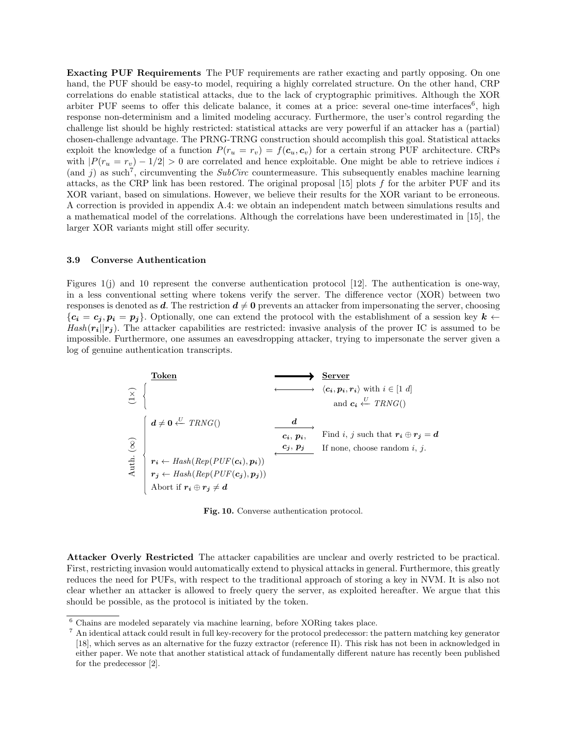Exacting PUF Requirements The PUF requirements are rather exacting and partly opposing. On one hand, the PUF should be easy-to model, requiring a highly correlated structure. On the other hand, CRP correlations do enable statistical attacks, due to the lack of cryptographic primitives. Although the XOR arbiter PUF seems to offer this delicate balance, it comes at a price: several one-time interfaces<sup>6</sup>, high response non-determinism and a limited modeling accuracy. Furthermore, the user's control regarding the challenge list should be highly restricted: statistical attacks are very powerful if an attacker has a (partial) chosen-challenge advantage. The PRNG-TRNG construction should accomplish this goal. Statistical attacks exploit the knowledge of a function  $P(r_u = r_v) = f(c_u, c_v)$  for a certain strong PUF architecture. CRPs with  $|P(r_u = r_v) - 1/2| > 0$  are correlated and hence exploitable. One might be able to retrieve indices i (and j) as such<sup>7</sup>, circumventing the SubCirc countermeasure. This subsequently enables machine learning attacks, as the CRP link has been restored. The original proposal  $[15]$  plots f for the arbiter PUF and its XOR variant, based on simulations. However, we believe their results for the XOR variant to be erroneous. A correction is provided in appendix A.4: we obtain an independent match between simulations results and a mathematical model of the correlations. Although the correlations have been underestimated in [15], the larger XOR variants might still offer security.

#### 3.9 Converse Authentication

Figures 1(j) and 10 represent the converse authentication protocol [12]. The authentication is one-way, in a less conventional setting where tokens verify the server. The difference vector (XOR) between two responses is denoted as d. The restriction  $d \neq 0$  prevents an attacker from impersonating the server, choosing  ${c_i = c_j, p_i = p_j}.$  Optionally, one can extend the protocol with the establishment of a session key  $k \leftarrow$  $Hash(r_i||r_j)$ . The attacker capabilities are restricted: invasive analysis of the prover IC is assumed to be impossible. Furthermore, one assumes an eavesdropping attacker, trying to impersonate the server given a log of genuine authentication transcripts.

| Token         |                                                                                                                                                                                                                                                                                                                                                                                                                                                                                                                                                                                                                                                                                                                                                                                                                                                                            | Server |
|---------------|----------------------------------------------------------------------------------------------------------------------------------------------------------------------------------------------------------------------------------------------------------------------------------------------------------------------------------------------------------------------------------------------------------------------------------------------------------------------------------------------------------------------------------------------------------------------------------------------------------------------------------------------------------------------------------------------------------------------------------------------------------------------------------------------------------------------------------------------------------------------------|--------|
| $\frac{1}{C}$ | $\left\{\n \begin{array}{ccc}\n & & & & \\ \hline\n & & & & \\ & & & & \\ & & & & \\ \hline\n & & & & \\ \hline\n & & & & \\ \hline\n & & & & \\ \hline\n & & & & \\ \hline\n & & & & \\ \hline\n & & & & \\ \hline\n & & & & \\ \hline\n & & & & \\ \hline\n & & & & \\ \hline\n & & & & \\ \hline\n & & & & \\ \hline\n & & & & \\ \hline\n & & & & \\ \hline\n & & & & \\ \hline\n & & & & \\ \hline\n & & & & \\ \hline\n & & & & \\ \hline\n & & & & \\ \hline\n & & & & \\ \hline\n & & & & \\ \hline\n & & & & \\ \hline\n & & & & \\ \hline\n & & & & \\ \hline\n & & & & \\ \hline\n & & & & \\ \hline\n & & & & \\ \hline\n & & & & \\ \hline\n & & & & \\ \hline\n & & & & \\ \hline\n & & & & \\ \hline\n & & & & \\ \hline\n & & & & \\ \hline\n & & & & \\ \hline\n & & & & \\ \hline\n & & & & \\ \hline\n & & & & \\ \hline\n & & & & \\ \hline\n & & & &$ |        |

Fig. 10. Converse authentication protocol.

Attacker Overly Restricted The attacker capabilities are unclear and overly restricted to be practical. First, restricting invasion would automatically extend to physical attacks in general. Furthermore, this greatly reduces the need for PUFs, with respect to the traditional approach of storing a key in NVM. It is also not clear whether an attacker is allowed to freely query the server, as exploited hereafter. We argue that this should be possible, as the protocol is initiated by the token.

 $^6$  Chains are modeled separately via machine learning, before XORing takes place.

<sup>7</sup> An identical attack could result in full key-recovery for the protocol predecessor: the pattern matching key generator [18], which serves as an alternative for the fuzzy extractor (reference II). This risk has not been in acknowledged in either paper. We note that another statistical attack of fundamentally different nature has recently been published for the predecessor [2].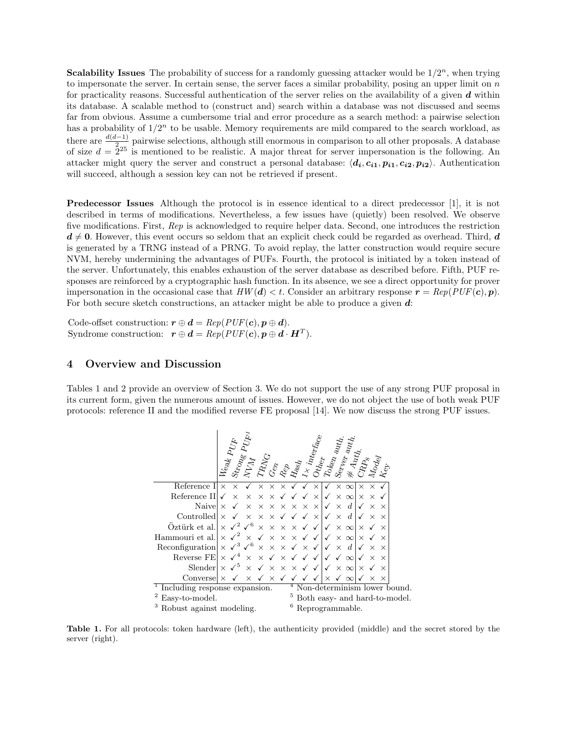**Scalability Issues** The probability of success for a randomly guessing attacker would be  $1/2^n$ , when trying to impersonate the server. In certain sense, the server faces a similar probability, posing an upper limit on  $n$ for practicality reasons. Successful authentication of the server relies on the availability of a given  $d$  within its database. A scalable method to (construct and) search within a database was not discussed and seems far from obvious. Assume a cumbersome trial and error procedure as a search method: a pairwise selection has a probability of  $1/2^n$  to be usable. Memory requirements are mild compared to the search workload, as there are  $\frac{d(d-1)}{2}$  pairwise selections, although still enormous in comparison to all other proposals. A database of size  $d = 2^{25}$  is mentioned to be realistic. A major threat for server impersonation is the following. An attacker might query the server and construct a personal database:  $\langle d_i, c_{i1}, p_{i1}, c_{i2}, p_{i2} \rangle$ . Authentication will succeed, although a session key can not be retrieved if present.

Predecessor Issues Although the protocol is in essence identical to a direct predecessor [1], it is not described in terms of modifications. Nevertheless, a few issues have (quietly) been resolved. We observe five modifications. First, Rep is acknowledged to require helper data. Second, one introduces the restriction  $d \neq 0$ . However, this event occurs so seldom that an explicit check could be regarded as overhead. Third, d is generated by a TRNG instead of a PRNG. To avoid replay, the latter construction would require secure NVM, hereby undermining the advantages of PUFs. Fourth, the protocol is initiated by a token instead of the server. Unfortunately, this enables exhaustion of the server database as described before. Fifth, PUF responses are reinforced by a cryptographic hash function. In its absence, we see a direct opportunity for prover impersonation in the occasional case that  $HW(d) < t$ . Consider an arbitrary response  $r = Rep(PUF(c), p)$ . For both secure sketch constructions, an attacker might be able to produce a given d:

Code-offset construction:  $\mathbf{r} \oplus \mathbf{d} = Rep(PUF(\mathbf{c}), \mathbf{p} \oplus \mathbf{d}).$ Syndrome construction:  $\mathbf{r} \oplus \mathbf{d} = Rep(PUF(\mathbf{c}), \mathbf{p} \oplus \mathbf{d} \cdot \mathbf{H}^T)$ .

## 4 Overview and Discussion

Tables 1 and 2 provide an overview of Section 3. We do not support the use of any strong PUF proposal in its current form, given the numerous amount of issues. However, we do not object the use of both weak PUF protocols: reference II and the modified reverse FE proposal [14]. We now discuss the strong PUF issues.



Table 1. For all protocols: token hardware (left), the authenticity provided (middle) and the secret stored by the server (right).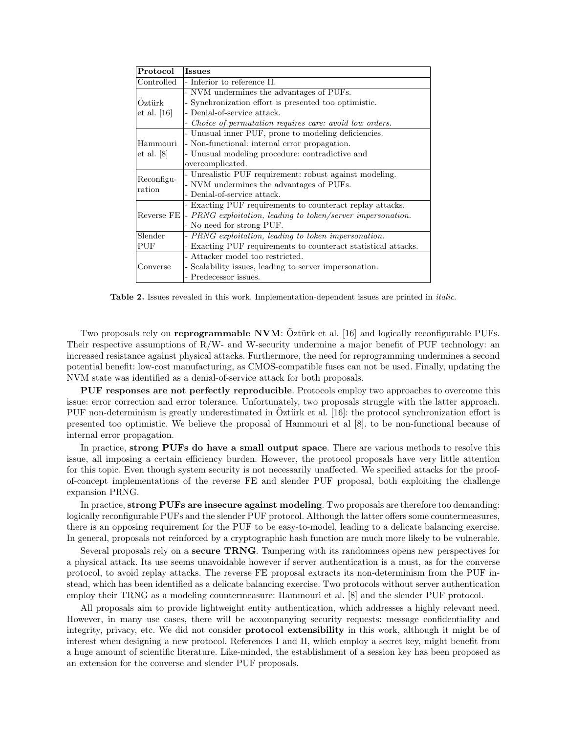| Protocol      | <b>Issues</b>                                                                   |  |  |  |
|---------------|---------------------------------------------------------------------------------|--|--|--|
| Controlled    | - Inferior to reference II.                                                     |  |  |  |
|               | - NVM undermines the advantages of PUFs.                                        |  |  |  |
| Oztürk        | - Synchronization effort is presented too optimistic.                           |  |  |  |
| et al. $[16]$ | - Denial-of-service attack.                                                     |  |  |  |
|               | - Choice of permutation requires care: avoid low orders.                        |  |  |  |
|               | - Unusual inner PUF, prone to modeling deficiencies.                            |  |  |  |
| Hammouri      | - Non-functional: internal error propagation.                                   |  |  |  |
| et al. [8]    | - Unusual modeling procedure: contradictive and                                 |  |  |  |
|               | overcomplicated.                                                                |  |  |  |
| Reconfigu-    | - Unrealistic PUF requirement: robust against modeling.                         |  |  |  |
| ration        | - NVM undermines the advantages of PUFs.                                        |  |  |  |
|               | - Denial-of-service attack.                                                     |  |  |  |
|               | - Exacting PUF requirements to counteract replay attacks.                       |  |  |  |
|               | Reverse $FE$ - <i>PRNG</i> exploitation, leading to token/server impersonation. |  |  |  |
|               | - No need for strong PUF.                                                       |  |  |  |
| Slender       | - PRNG exploitation, leading to token impersonation.                            |  |  |  |
| PUF           | - Exacting PUF requirements to counteract statistical attacks.                  |  |  |  |
|               | - Attacker model too restricted.                                                |  |  |  |
| Converse      | - Scalability issues, leading to server impersonation.                          |  |  |  |
|               | - Predecessor issues.                                                           |  |  |  |

Table 2. Issues revealed in this work. Implementation-dependent issues are printed in *italic*.

Two proposals rely on **reprogrammable NVM**: Oztürk et al. [16] and logically reconfigurable PUFs. Their respective assumptions of  $R/W$ - and W-security undermine a major benefit of PUF technology: an increased resistance against physical attacks. Furthermore, the need for reprogramming undermines a second potential benefit: low-cost manufacturing, as CMOS-compatible fuses can not be used. Finally, updating the NVM state was identified as a denial-of-service attack for both proposals.

PUF responses are not perfectly reproducible. Protocols employ two approaches to overcome this issue: error correction and error tolerance. Unfortunately, two proposals struggle with the latter approach. PUF non-determinism is greatly underestimated in Oztürk et al. [16]: the protocol synchronization effort is presented too optimistic. We believe the proposal of Hammouri et al [8]. to be non-functional because of internal error propagation.

In practice, strong PUFs do have a small output space. There are various methods to resolve this issue, all imposing a certain efficiency burden. However, the protocol proposals have very little attention for this topic. Even though system security is not necessarily unaffected. We specified attacks for the proofof-concept implementations of the reverse FE and slender PUF proposal, both exploiting the challenge expansion PRNG.

In practice, strong PUFs are insecure against modeling. Two proposals are therefore too demanding: logically reconfigurable PUFs and the slender PUF protocol. Although the latter offers some countermeasures, there is an opposing requirement for the PUF to be easy-to-model, leading to a delicate balancing exercise. In general, proposals not reinforced by a cryptographic hash function are much more likely to be vulnerable.

Several proposals rely on a secure TRNG. Tampering with its randomness opens new perspectives for a physical attack. Its use seems unavoidable however if server authentication is a must, as for the converse protocol, to avoid replay attacks. The reverse FE proposal extracts its non-determinism from the PUF instead, which has been identified as a delicate balancing exercise. Two protocols without server authentication employ their TRNG as a modeling countermeasure: Hammouri et al. [8] and the slender PUF protocol.

All proposals aim to provide lightweight entity authentication, which addresses a highly relevant need. However, in many use cases, there will be accompanying security requests: message confidentiality and integrity, privacy, etc. We did not consider protocol extensibility in this work, although it might be of interest when designing a new protocol. References I and II, which employ a secret key, might benefit from a huge amount of scientific literature. Like-minded, the establishment of a session key has been proposed as an extension for the converse and slender PUF proposals.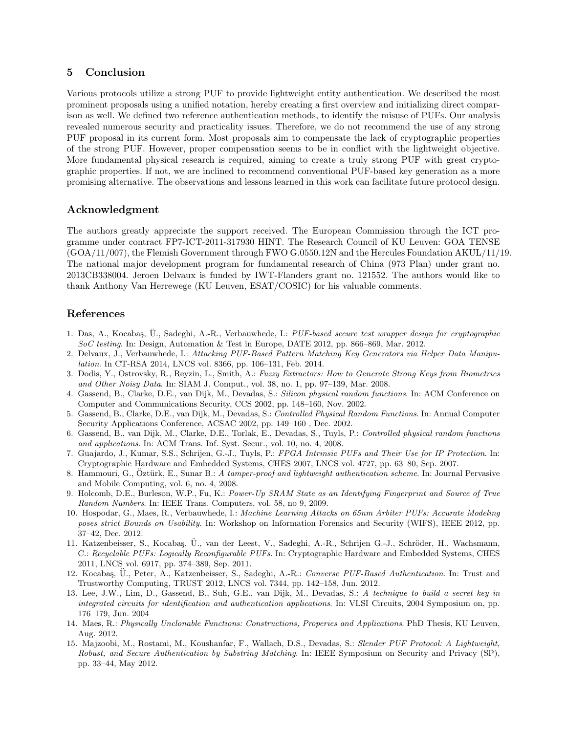# 5 Conclusion

Various protocols utilize a strong PUF to provide lightweight entity authentication. We described the most prominent proposals using a unified notation, hereby creating a first overview and initializing direct comparison as well. We defined two reference authentication methods, to identify the misuse of PUFs. Our analysis revealed numerous security and practicality issues. Therefore, we do not recommend the use of any strong PUF proposal in its current form. Most proposals aim to compensate the lack of cryptographic properties of the strong PUF. However, proper compensation seems to be in conflict with the lightweight objective. More fundamental physical research is required, aiming to create a truly strong PUF with great cryptographic properties. If not, we are inclined to recommend conventional PUF-based key generation as a more promising alternative. The observations and lessons learned in this work can facilitate future protocol design.

# Acknowledgment

The authors greatly appreciate the support received. The European Commission through the ICT programme under contract FP7-ICT-2011-317930 HINT. The Research Council of KU Leuven: GOA TENSE (GOA/11/007), the Flemish Government through FWO G.0550.12N and the Hercules Foundation AKUL/11/19. The national major development program for fundamental research of China (973 Plan) under grant no. 2013CB338004. Jeroen Delvaux is funded by IWT-Flanders grant no. 121552. The authors would like to thank Anthony Van Herrewege (KU Leuven, ESAT/COSIC) for his valuable comments.

# References

- 1. Das, A., Kocabaş, Ü., Sadeghi, A.-R., Verbauwhede, I.: PUF-based secure test wrapper design for cryptographic SoC testing. In: Design, Automation & Test in Europe, DATE 2012, pp. 866–869, Mar. 2012.
- 2. Delvaux, J., Verbauwhede, I.: Attacking PUF-Based Pattern Matching Key Generators via Helper Data Manipulation. In CT-RSA 2014, LNCS vol. 8366, pp. 106–131, Feb. 2014.
- 3. Dodis, Y., Ostrovsky, R., Reyzin, L., Smith, A.: Fuzzy Extractors: How to Generate Strong Keys from Biometrics and Other Noisy Data. In: SIAM J. Comput., vol. 38, no. 1, pp. 97–139, Mar. 2008.
- 4. Gassend, B., Clarke, D.E., van Dijk, M., Devadas, S.: Silicon physical random functions. In: ACM Conference on Computer and Communications Security, CCS 2002, pp. 148–160, Nov. 2002.
- 5. Gassend, B., Clarke, D.E., van Dijk, M., Devadas, S.: Controlled Physical Random Functions. In: Annual Computer Security Applications Conference, ACSAC 2002, pp. 149–160 , Dec. 2002.
- 6. Gassend, B., van Dijk, M., Clarke, D.E., Torlak, E., Devadas, S., Tuyls, P.: Controlled physical random functions and applications. In: ACM Trans. Inf. Syst. Secur., vol. 10, no. 4, 2008.
- 7. Guajardo, J., Kumar, S.S., Schrijen, G.-J., Tuyls, P.: FPGA Intrinsic PUFs and Their Use for IP Protection. In: Cryptographic Hardware and Embedded Systems, CHES 2007, LNCS vol. 4727, pp. 63–80, Sep. 2007.
- 8. Hammouri, G., Öztürk, E., Sunar B.: A tamper-proof and lightweight authentication scheme. In: Journal Pervasive and Mobile Computing, vol. 6, no. 4, 2008.
- 9. Holcomb, D.E., Burleson, W.P., Fu, K.: Power-Up SRAM State as an Identifying Fingerprint and Source of True Random Numbers. In: IEEE Trans. Computers, vol. 58, no 9, 2009.
- 10. Hospodar, G., Maes, R., Verbauwhede, I.: Machine Learning Attacks on 65nm Arbiter PUFs: Accurate Modeling poses strict Bounds on Usability. In: Workshop on Information Forensics and Security (WIFS), IEEE 2012, pp. 37–42, Dec. 2012.
- 11. Katzenbeisser, S., Kocabaş, Ü., van der Leest, V., Sadeghi, A.-R., Schrijen G.-J., Schröder, H., Wachsmann, C.: Recyclable PUFs: Logically Reconfigurable PUFs. In: Cryptographic Hardware and Embedded Systems, CHES 2011, LNCS vol. 6917, pp. 374–389, Sep. 2011.
- 12. Kocabaş, Ü., Peter, A., Katzenbeisser, S., Sadeghi, A.-R.: Converse PUF-Based Authentication. In: Trust and Trustworthy Computing, TRUST 2012, LNCS vol. 7344, pp. 142–158, Jun. 2012.
- 13. Lee, J.W., Lim, D., Gassend, B., Suh, G.E., van Dijk, M., Devadas, S.: A technique to build a secret key in integrated circuits for identification and authentication applications. In: VLSI Circuits, 2004 Symposium on, pp. 176–179, Jun. 2004
- 14. Maes, R.: Physically Unclonable Functions: Constructions, Properies and Applications. PhD Thesis, KU Leuven, Aug. 2012.
- 15. Majzoobi, M., Rostami, M., Koushanfar, F., Wallach, D.S., Devadas, S.: Slender PUF Protocol: A Lightweight, Robust, and Secure Authentication by Substring Matching. In: IEEE Symposium on Security and Privacy (SP), pp. 33–44, May 2012.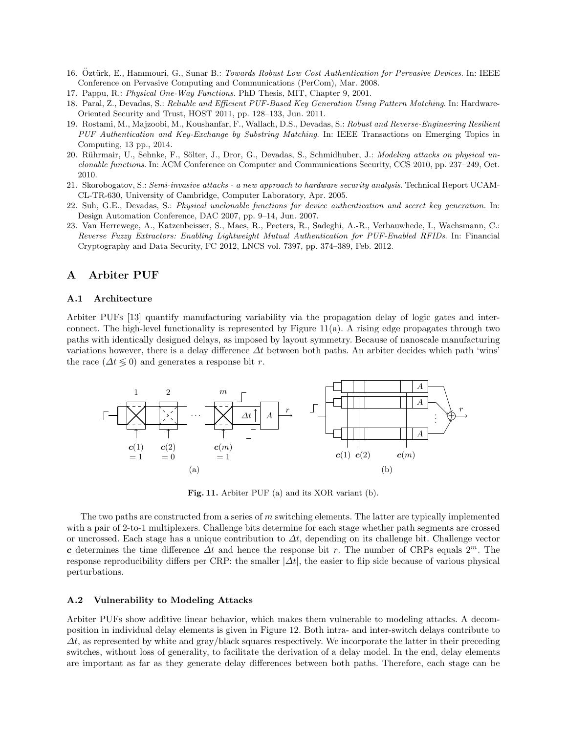- 16. Öztürk, E., Hammouri, G., Sunar B.: Towards Robust Low Cost Authentication for Pervasive Devices. In: IEEE Conference on Pervasive Computing and Communications (PerCom), Mar. 2008.
- 17. Pappu, R.: Physical One-Way Functions. PhD Thesis, MIT, Chapter 9, 2001.
- 18. Paral, Z., Devadas, S.: Reliable and Efficient PUF-Based Key Generation Using Pattern Matching. In: Hardware-Oriented Security and Trust, HOST 2011, pp. 128–133, Jun. 2011.
- 19. Rostami, M., Majzoobi, M., Koushanfar, F., Wallach, D.S., Devadas, S.: Robust and Reverse-Engineering Resilient PUF Authentication and Key-Exchange by Substring Matching. In: IEEE Transactions on Emerging Topics in Computing, 13 pp., 2014.
- 20. Rührmair, U., Sehnke, F., Sölter, J., Dror, G., Devadas, S., Schmidhuber, J.: Modeling attacks on physical unclonable functions. In: ACM Conference on Computer and Communications Security, CCS 2010, pp. 237–249, Oct. 2010.
- 21. Skorobogatov, S.: Semi-invasive attacks a new approach to hardware security analysis. Technical Report UCAM-CL-TR-630, University of Cambridge, Computer Laboratory, Apr. 2005.
- 22. Suh, G.E., Devadas, S.: Physical unclonable functions for device authentication and secret key generation. In: Design Automation Conference, DAC 2007, pp. 9–14, Jun. 2007.
- 23. Van Herrewege, A., Katzenbeisser, S., Maes, R., Peeters, R., Sadeghi, A.-R., Verbauwhede, I., Wachsmann, C.: Reverse Fuzzy Extractors: Enabling Lightweight Mutual Authentication for PUF-Enabled RFIDs. In: Financial Cryptography and Data Security, FC 2012, LNCS vol. 7397, pp. 374–389, Feb. 2012.

# A Arbiter PUF

#### A.1 Architecture

Arbiter PUFs [13] quantify manufacturing variability via the propagation delay of logic gates and interconnect. The high-level functionality is represented by Figure  $11(a)$ . A rising edge propagates through two paths with identically designed delays, as imposed by layout symmetry. Because of nanoscale manufacturing variations however, there is a delay difference  $\Delta t$  between both paths. An arbiter decides which path 'wins' the race  $(\Delta t \leq 0)$  and generates a response bit r.



Fig. 11. Arbiter PUF (a) and its XOR variant (b).

The two paths are constructed from a series of  $m$  switching elements. The latter are typically implemented with a pair of 2-to-1 multiplexers. Challenge bits determine for each stage whether path segments are crossed or uncrossed. Each stage has a unique contribution to  $\Delta t$ , depending on its challenge bit. Challenge vector c determines the time difference  $\Delta t$  and hence the response bit r. The number of CRPs equals  $2^m$ . The response reproducibility differs per CRP: the smaller  $|\Delta t|$ , the easier to flip side because of various physical perturbations.

#### A.2 Vulnerability to Modeling Attacks

Arbiter PUFs show additive linear behavior, which makes them vulnerable to modeling attacks. A decomposition in individual delay elements is given in Figure 12. Both intra- and inter-switch delays contribute to  $\Delta t$ , as represented by white and gray/black squares respectively. We incorporate the latter in their preceding switches, without loss of generality, to facilitate the derivation of a delay model. In the end, delay elements are important as far as they generate delay differences between both paths. Therefore, each stage can be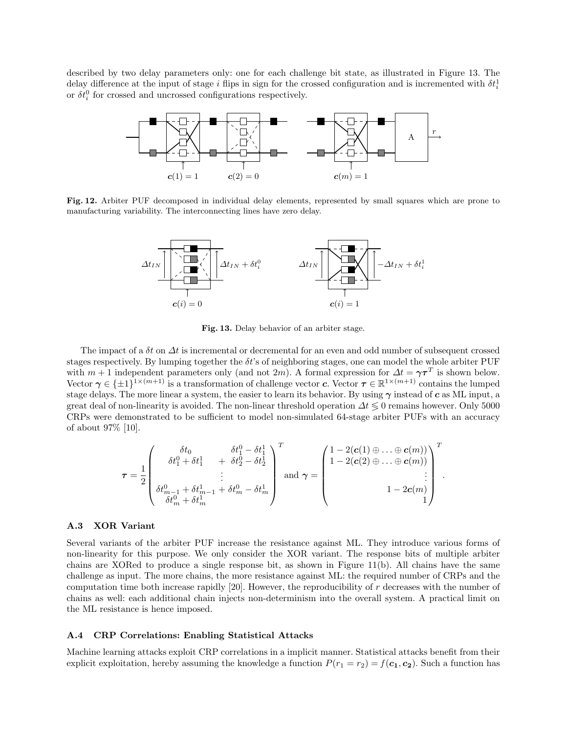described by two delay parameters only: one for each challenge bit state, as illustrated in Figure 13. The delay difference at the input of stage i flips in sign for the crossed configuration and is incremented with  $\delta t_i^1$ or  $\delta t_i^0$  for crossed and uncrossed configurations respectively.



Fig. 12. Arbiter PUF decomposed in individual delay elements, represented by small squares which are prone to manufacturing variability. The interconnecting lines have zero delay.



Fig. 13. Delay behavior of an arbiter stage.

The impact of a  $\delta t$  on  $\Delta t$  is incremental or decremental for an even and odd number of subsequent crossed stages respectively. By lumping together the  $\delta t$ 's of neighboring stages, one can model the whole arbiter PUF with  $m + 1$  independent parameters only (and not 2m). A formal expression for  $\Delta t = \gamma \tau^T$  is shown below. Vector  $\gamma \in {\pm 1}^{1 \times (m+1)}$  is a transformation of challenge vector c. Vector  $\tau \in \mathbb{R}^{1 \times (m+1)}$  contains the lumped stage delays. The more linear a system, the easier to learn its behavior. By using  $\gamma$  instead of c as ML input, a great deal of non-linearity is avoided. The non-linear threshold operation  $\Delta t \leq 0$  remains however. Only 5000 CRPs were demonstrated to be sufficient to model non-simulated 64-stage arbiter PUFs with an accuracy of about 97% [10].

$$
\boldsymbol{\tau} = \frac{1}{2} \left( \begin{array}{ccc} \delta t_0 & \delta t_1^0 - \delta t_1^1 \\ \delta t_1^0 + \delta t_1^1 & + \ \delta t_2^0 - \delta t_2^1 \\ \vdots & \vdots \\ \delta t_{m-1}^0 + \delta t_{m-1}^1 + \delta t_{m}^0 - \delta t_{m}^1 \end{array} \right)^T \text{and } \boldsymbol{\gamma} = \left( \begin{array}{ccc} 1 - 2 (\boldsymbol{c}(1) \oplus \ldots \oplus \boldsymbol{c}(m)) \\ 1 - 2 (\boldsymbol{c}(2) \oplus \ldots \oplus \boldsymbol{c}(m)) \\ \vdots & \vdots \\ 1 - 2 \boldsymbol{c}(m) \\ 1 \end{array} \right)^T.
$$

#### A.3 XOR Variant

Several variants of the arbiter PUF increase the resistance against ML. They introduce various forms of non-linearity for this purpose. We only consider the XOR variant. The response bits of multiple arbiter chains are XORed to produce a single response bit, as shown in Figure  $11(b)$ . All chains have the same challenge as input. The more chains, the more resistance against ML: the required number of CRPs and the computation time both increase rapidly  $[20]$ . However, the reproducibility of r decreases with the number of chains as well: each additional chain injects non-determinism into the overall system. A practical limit on the ML resistance is hence imposed.

### A.4 CRP Correlations: Enabling Statistical Attacks

Machine learning attacks exploit CRP correlations in a implicit manner. Statistical attacks benefit from their explicit exploitation, hereby assuming the knowledge a function  $P(r_1 = r_2) = f(c_1, c_2)$ . Such a function has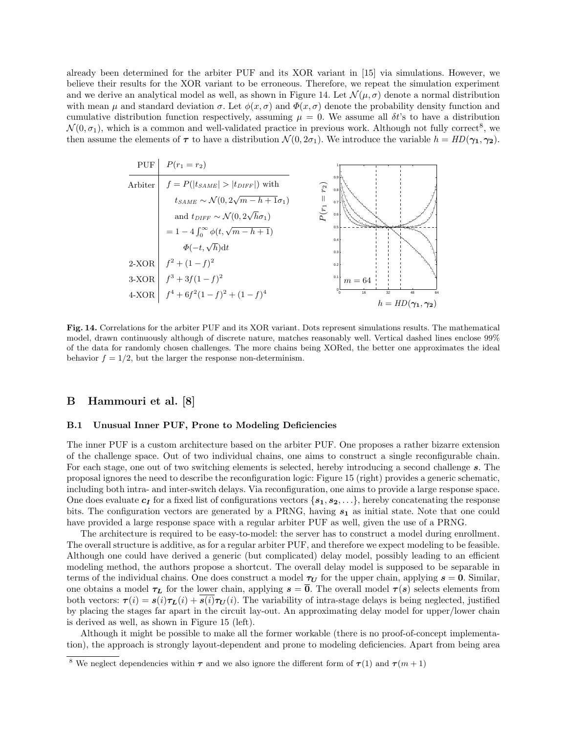already been determined for the arbiter PUF and its XOR variant in [15] via simulations. However, we believe their results for the XOR variant to be erroneous. Therefore, we repeat the simulation experiment and we derive an analytical model as well, as shown in Figure 14. Let  $\mathcal{N}(\mu, \sigma)$  denote a normal distribution with mean  $\mu$  and standard deviation  $\sigma$ . Let  $\phi(x, \sigma)$  and  $\Phi(x, \sigma)$  denote the probability density function and cumulative distribution function respectively, assuming  $\mu = 0$ . We assume all  $\delta t$ 's to have a distribution  $\mathcal{N}(0, \sigma_1)$ , which is a common and well-validated practice in previous work. Although not fully correct<sup>8</sup>, we then assume the elements of  $\tau$  to have a distribution  $\mathcal{N}(0, 2\sigma_1)$ . We introduce the variable  $h = HD(\gamma_1, \gamma_2)$ .



Fig. 14. Correlations for the arbiter PUF and its XOR variant. Dots represent simulations results. The mathematical model, drawn continuously although of discrete nature, matches reasonably well. Vertical dashed lines enclose 99% of the data for randomly chosen challenges. The more chains being XORed, the better one approximates the ideal behavior  $f = 1/2$ , but the larger the response non-determinism.

# B Hammouri et al. [8]

#### B.1 Unusual Inner PUF, Prone to Modeling Deficiencies

The inner PUF is a custom architecture based on the arbiter PUF. One proposes a rather bizarre extension of the challenge space. Out of two individual chains, one aims to construct a single reconfigurable chain. For each stage, one out of two switching elements is selected, hereby introducing a second challenge s. The proposal ignores the need to describe the reconfiguration logic: Figure 15 (right) provides a generic schematic, including both intra- and inter-switch delays. Via reconfiguration, one aims to provide a large response space. One does evaluate  $c_I$  for a fixed list of configurations vectors  $\{s_1, s_2, \ldots\}$ , hereby concatenating the response bits. The configuration vectors are generated by a PRNG, having  $s_1$  as initial state. Note that one could have provided a large response space with a regular arbiter PUF as well, given the use of a PRNG.

The architecture is required to be easy-to-model: the server has to construct a model during enrollment. The overall structure is additive, as for a regular arbiter PUF, and therefore we expect modeling to be feasible. Although one could have derived a generic (but complicated) delay model, possibly leading to an efficient modeling method, the authors propose a shortcut. The overall delay model is supposed to be separable in terms of the individual chains. One does construct a model  $\tau_U$  for the upper chain, applying  $s = 0$ . Similar, one obtains a model  $\tau_L$  for the lower chain, applying  $s = \overline{0}$ . The overall model  $\tau(s)$  selects elements from both vectors:  $\tau(i) = s(i)\tau_L(i) + \overline{s(i)}\tau_U(i)$ . The variability of intra-stage delays is being neglected, justified by placing the stages far apart in the circuit lay-out. An approximating delay model for upper/lower chain is derived as well, as shown in Figure 15 (left).

Although it might be possible to make all the former workable (there is no proof-of-concept implementation), the approach is strongly layout-dependent and prone to modeling deficiencies. Apart from being area

<sup>&</sup>lt;sup>8</sup> We neglect dependencies within  $\tau$  and we also ignore the different form of  $\tau(1)$  and  $\tau(m+1)$